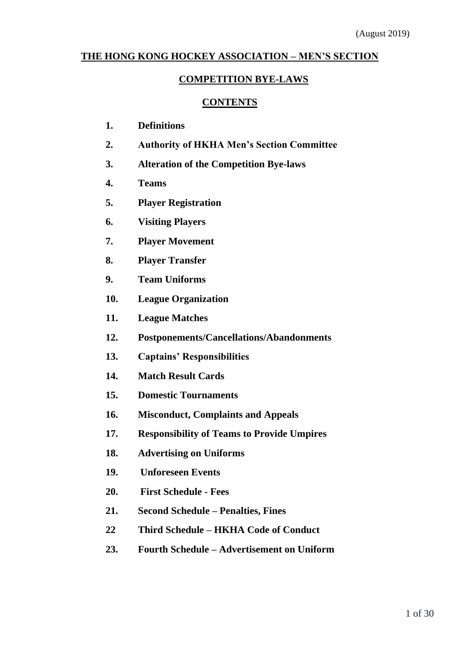# **THE HONG KONG HOCKEY ASSOCIATION – MEN'S SECTION**

# **COMPETITION BYE-LAWS**

## **CONTENTS**

- **1. Definitions**
- **2. Authority of HKHA Men's Section Committee**
- **3. Alteration of the Competition Bye-laws**
- **4. Teams**
- **5. Player Registration**
- **6. Visiting Players**
- **7. Player Movement**
- **8. Player Transfer**
- **9. Team Uniforms**
- **10. League Organization**
- **11. League Matches**
- **12. Postponements/Cancellations/Abandonments**
- **13. Captains' Responsibilities**
- **14. Match Result Cards**
- **15. Domestic Tournaments**
- **16. Misconduct, Complaints and Appeals**
- **17. Responsibility of Teams to Provide Umpires**
- **18. Advertising on Uniforms**
- **19. Unforeseen Events**
- **20. First Schedule - Fees**
- **21. Second Schedule – Penalties, Fines**
- **22 Third Schedule – HKHA Code of Conduct**
- **23. Fourth Schedule – Advertisement on Uniform**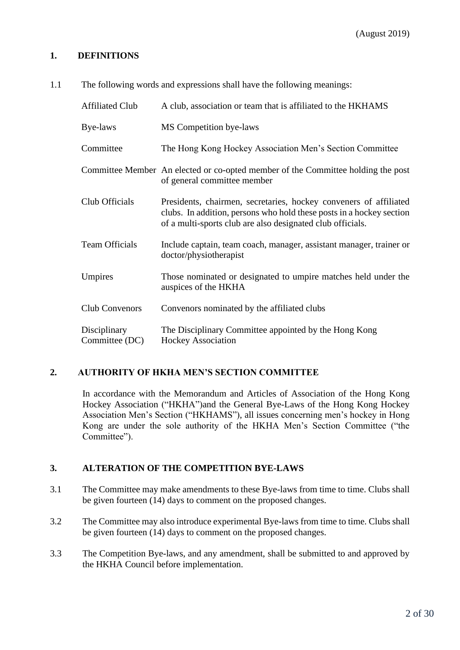## **1. DEFINITIONS**

1.1 The following words and expressions shall have the following meanings:

| <b>Affiliated Club</b>         | A club, association or team that is affiliated to the HKHAMS                                                                                                                                            |
|--------------------------------|---------------------------------------------------------------------------------------------------------------------------------------------------------------------------------------------------------|
| Bye-laws                       | MS Competition bye-laws                                                                                                                                                                                 |
| Committee                      | The Hong Kong Hockey Association Men's Section Committee                                                                                                                                                |
|                                | Committee Member An elected or co-opted member of the Committee holding the post<br>of general committee member                                                                                         |
| Club Officials                 | Presidents, chairmen, secretaries, hockey conveners of affiliated<br>clubs. In addition, persons who hold these posts in a hockey section<br>of a multi-sports club are also designated club officials. |
| <b>Team Officials</b>          | Include captain, team coach, manager, assistant manager, trainer or<br>doctor/physiotherapist                                                                                                           |
| Umpires                        | Those nominated or designated to umpire matches held under the<br>auspices of the HKHA                                                                                                                  |
| Club Convenors                 | Convenors nominated by the affiliated clubs                                                                                                                                                             |
| Disciplinary<br>Committee (DC) | The Disciplinary Committee appointed by the Hong Kong<br><b>Hockey Association</b>                                                                                                                      |

# **2. AUTHORITY OF HKHA MEN'S SECTION COMMITTEE**

In accordance with the Memorandum and Articles of Association of the Hong Kong Hockey Association ("HKHA")and the General Bye-Laws of the Hong Kong Hockey Association Men's Section ("HKHAMS"), all issues concerning men's hockey in Hong Kong are under the sole authority of the HKHA Men's Section Committee ("the Committee").

### **3. ALTERATION OF THE COMPETITION BYE-LAWS**

- 3.1 The Committee may make amendments to these Bye-laws from time to time. Clubs shall be given fourteen (14) days to comment on the proposed changes.
- 3.2 The Committee may also introduce experimental Bye-laws from time to time. Clubs shall be given fourteen (14) days to comment on the proposed changes.
- 3.3 The Competition Bye-laws, and any amendment, shall be submitted to and approved by the HKHA Council before implementation.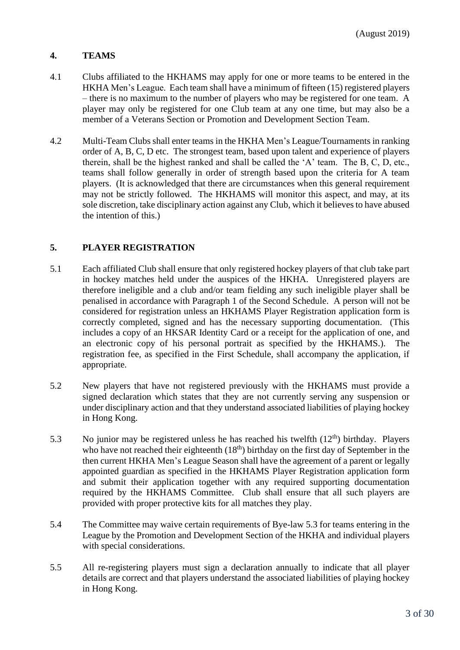# **4. TEAMS**

- 4.1 Clubs affiliated to the HKHAMS may apply for one or more teams to be entered in the HKHA Men's League. Each team shall have a minimum of fifteen (15) registered players – there is no maximum to the number of players who may be registered for one team. A player may only be registered for one Club team at any one time, but may also be a member of a Veterans Section or Promotion and Development Section Team.
- 4.2 Multi-Team Clubs shall enter teams in the HKHA Men's League/Tournaments in ranking order of A, B, C, D etc. The strongest team, based upon talent and experience of players therein, shall be the highest ranked and shall be called the 'A' team. The B, C, D, etc., teams shall follow generally in order of strength based upon the criteria for A team players. (It is acknowledged that there are circumstances when this general requirement may not be strictly followed. The HKHAMS will monitor this aspect, and may, at its sole discretion, take disciplinary action against any Club, which it believes to have abused the intention of this.)

### **5. PLAYER REGISTRATION**

- 5.1 Each affiliated Club shall ensure that only registered hockey players of that club take part in hockey matches held under the auspices of the HKHA. Unregistered players are therefore ineligible and a club and/or team fielding any such ineligible player shall be penalised in accordance with Paragraph 1 of the Second Schedule. A person will not be considered for registration unless an HKHAMS Player Registration application form is correctly completed, signed and has the necessary supporting documentation. (This includes a copy of an HKSAR Identity Card or a receipt for the application of one, and an electronic copy of his personal portrait as specified by the HKHAMS.). The registration fee, as specified in the First Schedule, shall accompany the application, if appropriate.
- 5.2 New players that have not registered previously with the HKHAMS must provide a signed declaration which states that they are not currently serving any suspension or under disciplinary action and that they understand associated liabilities of playing hockey in Hong Kong.
- 5.3 No junior may be registered unless he has reached his twelfth  $(12<sup>th</sup>)$  birthday. Players who have not reached their eighteenth  $(18<sup>th</sup>)$  birthday on the first day of September in the then current HKHA Men's League Season shall have the agreement of a parent or legally appointed guardian as specified in the HKHAMS Player Registration application form and submit their application together with any required supporting documentation required by the HKHAMS Committee. Club shall ensure that all such players are provided with proper protective kits for all matches they play.
- 5.4 The Committee may waive certain requirements of Bye-law 5.3 for teams entering in the League by the Promotion and Development Section of the HKHA and individual players with special considerations.
- 5.5 All re-registering players must sign a declaration annually to indicate that all player details are correct and that players understand the associated liabilities of playing hockey in Hong Kong.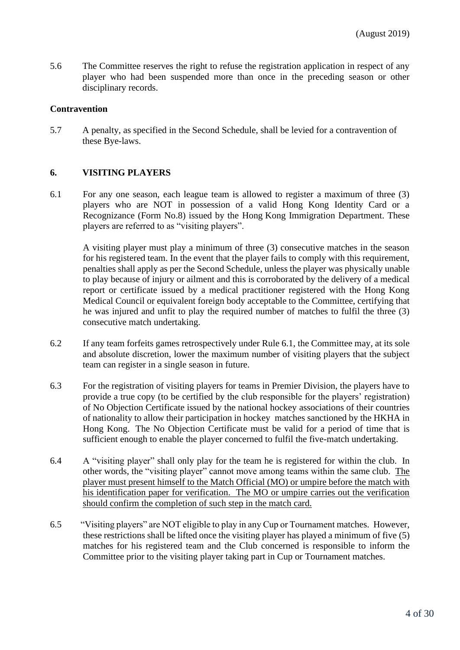5.6 The Committee reserves the right to refuse the registration application in respect of any player who had been suspended more than once in the preceding season or other disciplinary records.

#### **Contravention**

5.7 A penalty, as specified in the Second Schedule, shall be levied for a contravention of these Bye-laws.

#### **6. VISITING PLAYERS**

6.1 For any one season, each league team is allowed to register a maximum of three (3) players who are NOT in possession of a valid Hong Kong Identity Card or a Recognizance (Form No.8) issued by the Hong Kong Immigration Department. These players are referred to as "visiting players".

A visiting player must play a minimum of three (3) consecutive matches in the season for his registered team. In the event that the player fails to comply with this requirement, penalties shall apply as per the Second Schedule, unless the player was physically unable to play because of injury or ailment and this is corroborated by the delivery of a medical report or certificate issued by a medical practitioner registered with the Hong Kong Medical Council or equivalent foreign body acceptable to the Committee, certifying that he was injured and unfit to play the required number of matches to fulfil the three (3) consecutive match undertaking.

- 6.2 If any team forfeits games retrospectively under Rule 6.1, the Committee may, at its sole and absolute discretion, lower the maximum number of visiting players that the subject team can register in a single season in future.
- 6.3 For the registration of visiting players for teams in Premier Division, the players have to provide a true copy (to be certified by the club responsible for the players' registration) of No Objection Certificate issued by the national hockey associations of their countries of nationality to allow their participation in hockey matches sanctioned by the HKHA in Hong Kong. The No Objection Certificate must be valid for a period of time that is sufficient enough to enable the player concerned to fulfil the five-match undertaking.
- 6.4 A "visiting player" shall only play for the team he is registered for within the club. In other words, the "visiting player" cannot move among teams within the same club. The player must present himself to the Match Official (MO) or umpire before the match with his identification paper for verification. The MO or umpire carries out the verification should confirm the completion of such step in the match card.
- 6.5 "Visiting players" are NOT eligible to play in any Cup or Tournament matches. However, these restrictions shall be lifted once the visiting player has played a minimum of five (5) matches for his registered team and the Club concerned is responsible to inform the Committee prior to the visiting player taking part in Cup or Tournament matches.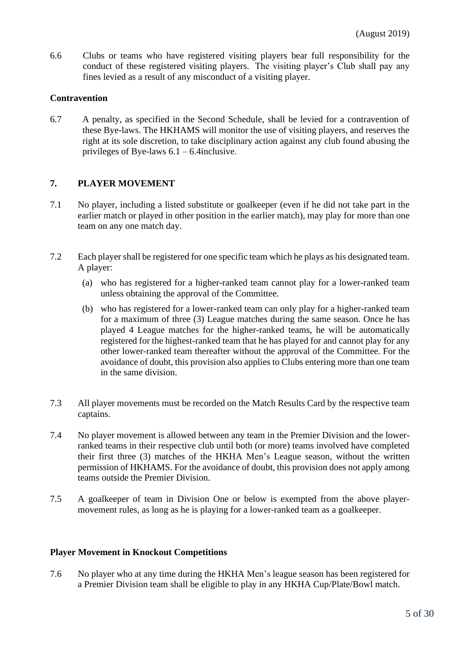6.6 Clubs or teams who have registered visiting players bear full responsibility for the conduct of these registered visiting players. The visiting player's Club shall pay any fines levied as a result of any misconduct of a visiting player.

### **Contravention**

6.7 A penalty, as specified in the Second Schedule, shall be levied for a contravention of these Bye-laws. The HKHAMS will monitor the use of visiting players, and reserves the right at its sole discretion, to take disciplinary action against any club found abusing the privileges of Bye-laws 6.1 – 6.4inclusive.

## **7. PLAYER MOVEMENT**

- 7.1 No player, including a listed substitute or goalkeeper (even if he did not take part in the earlier match or played in other position in the earlier match), may play for more than one team on any one match day.
- 7.2 Each player shall be registered for one specific team which he plays as his designated team. A player:
	- (a) who has registered for a higher-ranked team cannot play for a lower-ranked team unless obtaining the approval of the Committee.
	- (b) who has registered for a lower-ranked team can only play for a higher-ranked team for a maximum of three (3) League matches during the same season. Once he has played 4 League matches for the higher-ranked teams, he will be automatically registered for the highest-ranked team that he has played for and cannot play for any other lower-ranked team thereafter without the approval of the Committee. For the avoidance of doubt, this provision also applies to Clubs entering more than one team in the same division.
- 7.3 All player movements must be recorded on the Match Results Card by the respective team captains.
- 7.4 No player movement is allowed between any team in the Premier Division and the lowerranked teams in their respective club until both (or more) teams involved have completed their first three (3) matches of the HKHA Men's League season, without the written permission of HKHAMS. For the avoidance of doubt, this provision does not apply among teams outside the Premier Division.
- 7.5 A goalkeeper of team in Division One or below is exempted from the above playermovement rules, as long as he is playing for a lower-ranked team as a goalkeeper.

#### **Player Movement in Knockout Competitions**

7.6 No player who at any time during the HKHA Men's league season has been registered for a Premier Division team shall be eligible to play in any HKHA Cup/Plate/Bowl match.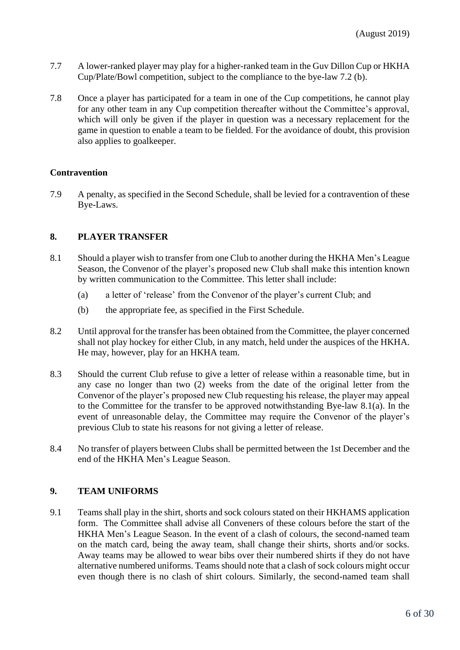- 7.7 A lower-ranked player may play for a higher-ranked team in the Guv Dillon Cup or HKHA Cup/Plate/Bowl competition, subject to the compliance to the bye-law 7.2 (b).
- 7.8 Once a player has participated for a team in one of the Cup competitions, he cannot play for any other team in any Cup competition thereafter without the Committee's approval, which will only be given if the player in question was a necessary replacement for the game in question to enable a team to be fielded. For the avoidance of doubt, this provision also applies to goalkeeper.

### **Contravention**

7.9 A penalty, as specified in the Second Schedule, shall be levied for a contravention of these Bye-Laws.

### **8. PLAYER TRANSFER**

- 8.1 Should a player wish to transfer from one Club to another during the HKHA Men's League Season, the Convenor of the player's proposed new Club shall make this intention known by written communication to the Committee. This letter shall include:
	- (a) a letter of 'release' from the Convenor of the player's current Club; and
	- (b) the appropriate fee, as specified in the First Schedule.
- 8.2 Until approval for the transfer has been obtained from the Committee, the player concerned shall not play hockey for either Club, in any match, held under the auspices of the HKHA. He may, however, play for an HKHA team.
- 8.3 Should the current Club refuse to give a letter of release within a reasonable time, but in any case no longer than two (2) weeks from the date of the original letter from the Convenor of the player's proposed new Club requesting his release, the player may appeal to the Committee for the transfer to be approved notwithstanding Bye-law 8.1(a). In the event of unreasonable delay, the Committee may require the Convenor of the player's previous Club to state his reasons for not giving a letter of release.
- 8.4 No transfer of players between Clubs shall be permitted between the 1st December and the end of the HKHA Men's League Season.

### **9. TEAM UNIFORMS**

9.1 Teams shall play in the shirt, shorts and sock colours stated on their HKHAMS application form. The Committee shall advise all Conveners of these colours before the start of the HKHA Men's League Season. In the event of a clash of colours, the second-named team on the match card, being the away team, shall change their shirts, shorts and/or socks. Away teams may be allowed to wear bibs over their numbered shirts if they do not have alternative numbered uniforms. Teams should note that a clash of sock colours might occur even though there is no clash of shirt colours. Similarly, the second-named team shall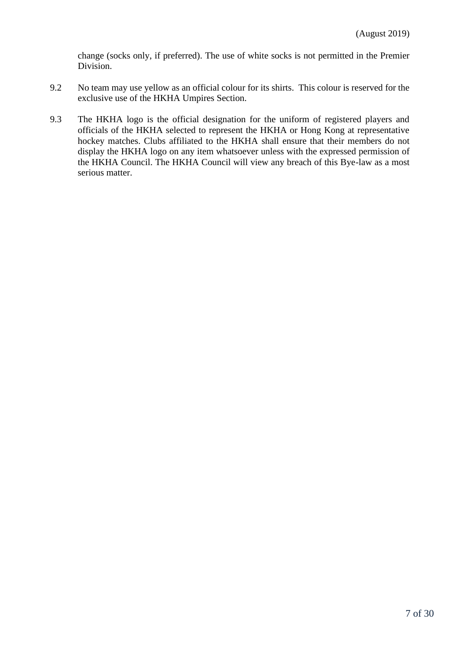change (socks only, if preferred). The use of white socks is not permitted in the Premier Division.

- 9.2 No team may use yellow as an official colour for its shirts. This colour is reserved for the exclusive use of the HKHA Umpires Section.
- 9.3 The HKHA logo is the official designation for the uniform of registered players and officials of the HKHA selected to represent the HKHA or Hong Kong at representative hockey matches. Clubs affiliated to the HKHA shall ensure that their members do not display the HKHA logo on any item whatsoever unless with the expressed permission of the HKHA Council. The HKHA Council will view any breach of this Bye-law as a most serious matter.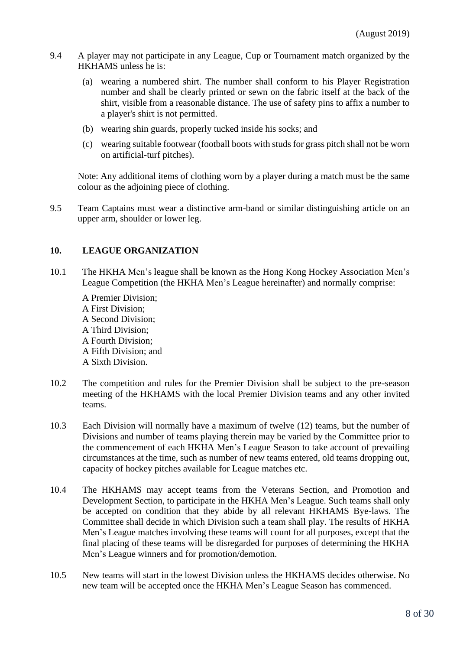- 9.4 A player may not participate in any League, Cup or Tournament match organized by the HKHAMS unless he is:
	- (a) wearing a numbered shirt. The number shall conform to his Player Registration number and shall be clearly printed or sewn on the fabric itself at the back of the shirt, visible from a reasonable distance. The use of safety pins to affix a number to a player's shirt is not permitted.
	- (b) wearing shin guards, properly tucked inside his socks; and
	- (c) wearing suitable footwear (football boots with studs for grass pitch shall not be worn on artificial-turf pitches).

Note: Any additional items of clothing worn by a player during a match must be the same colour as the adjoining piece of clothing.

9.5 Team Captains must wear a distinctive arm-band or similar distinguishing article on an upper arm, shoulder or lower leg.

### **10. LEAGUE ORGANIZATION**

10.1 The HKHA Men's league shall be known as the Hong Kong Hockey Association Men's League Competition (the HKHA Men's League hereinafter) and normally comprise:

A Premier Division; A First Division; A Second Division; A Third Division; A Fourth Division; A Fifth Division; and A Sixth Division.

- 10.2 The competition and rules for the Premier Division shall be subject to the pre-season meeting of the HKHAMS with the local Premier Division teams and any other invited teams.
- 10.3 Each Division will normally have a maximum of twelve (12) teams, but the number of Divisions and number of teams playing therein may be varied by the Committee prior to the commencement of each HKHA Men's League Season to take account of prevailing circumstances at the time, such as number of new teams entered, old teams dropping out, capacity of hockey pitches available for League matches etc.
- 10.4 The HKHAMS may accept teams from the Veterans Section, and Promotion and Development Section, to participate in the HKHA Men's League. Such teams shall only be accepted on condition that they abide by all relevant HKHAMS Bye-laws. The Committee shall decide in which Division such a team shall play. The results of HKHA Men's League matches involving these teams will count for all purposes, except that the final placing of these teams will be disregarded for purposes of determining the HKHA Men's League winners and for promotion/demotion.
- 10.5 New teams will start in the lowest Division unless the HKHAMS decides otherwise. No new team will be accepted once the HKHA Men's League Season has commenced.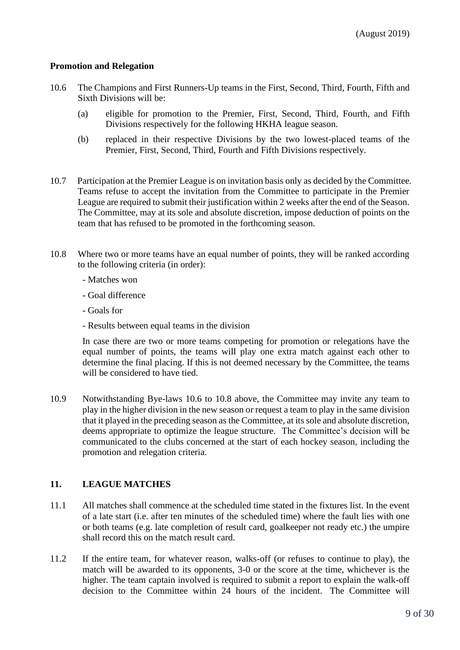#### **Promotion and Relegation**

- 10.6 The Champions and First Runners-Up teams in the First, Second, Third, Fourth, Fifth and Sixth Divisions will be:
	- (a) eligible for promotion to the Premier, First, Second, Third, Fourth, and Fifth Divisions respectively for the following HKHA league season.
	- (b) replaced in their respective Divisions by the two lowest-placed teams of the Premier, First, Second, Third, Fourth and Fifth Divisions respectively.
- 10.7 Participation at the Premier League is on invitation basis only as decided by the Committee. Teams refuse to accept the invitation from the Committee to participate in the Premier League are required to submit their justification within 2 weeks after the end of the Season. The Committee, may at its sole and absolute discretion, impose deduction of points on the team that has refused to be promoted in the forthcoming season.
- 10.8 Where two or more teams have an equal number of points, they will be ranked according to the following criteria (in order):
	- Matches won
	- Goal difference
	- Goals for
	- Results between equal teams in the division

In case there are two or more teams competing for promotion or relegations have the equal number of points, the teams will play one extra match against each other to determine the final placing. If this is not deemed necessary by the Committee, the teams will be considered to have tied.

10.9 Notwithstanding Bye-laws 10.6 to 10.8 above, the Committee may invite any team to play in the higher division in the new season or request a team to play in the same division that it played in the preceding season as the Committee, at its sole and absolute discretion, deems appropriate to optimize the league structure. The Committee's decision will be communicated to the clubs concerned at the start of each hockey season, including the promotion and relegation criteria.

# **11. LEAGUE MATCHES**

- 11.1 All matches shall commence at the scheduled time stated in the fixtures list. In the event of a late start (i.e. after ten minutes of the scheduled time) where the fault lies with one or both teams (e.g. late completion of result card, goalkeeper not ready etc.) the umpire shall record this on the match result card.
- 11.2 If the entire team, for whatever reason, walks-off (or refuses to continue to play), the match will be awarded to its opponents, 3-0 or the score at the time, whichever is the higher. The team captain involved is required to submit a report to explain the walk-off decision to the Committee within 24 hours of the incident. The Committee will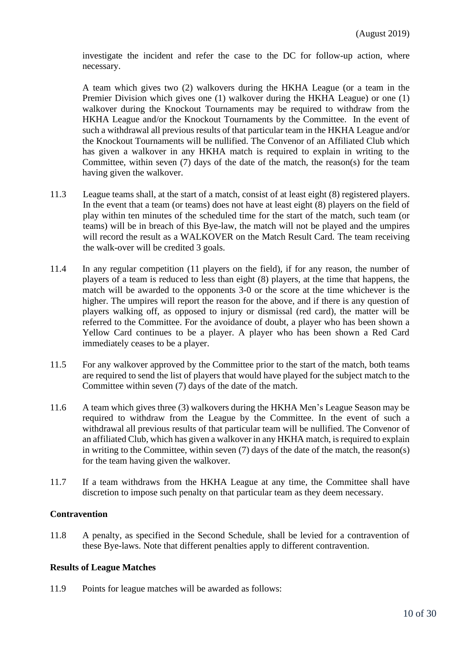investigate the incident and refer the case to the DC for follow-up action, where necessary.

A team which gives two (2) walkovers during the HKHA League (or a team in the Premier Division which gives one (1) walkover during the HKHA League) or one (1) walkover during the Knockout Tournaments may be required to withdraw from the HKHA League and/or the Knockout Tournaments by the Committee. In the event of such a withdrawal all previous results of that particular team in the HKHA League and/or the Knockout Tournaments will be nullified. The Convenor of an Affiliated Club which has given a walkover in any HKHA match is required to explain in writing to the Committee, within seven (7) days of the date of the match, the reason(s) for the team having given the walkover.

- 11.3 League teams shall, at the start of a match, consist of at least eight (8) registered players. In the event that a team (or teams) does not have at least eight (8) players on the field of play within ten minutes of the scheduled time for the start of the match, such team (or teams) will be in breach of this Bye-law, the match will not be played and the umpires will record the result as a WALKOVER on the Match Result Card. The team receiving the walk-over will be credited 3 goals.
- 11.4 In any regular competition (11 players on the field), if for any reason, the number of players of a team is reduced to less than eight (8) players, at the time that happens, the match will be awarded to the opponents 3-0 or the score at the time whichever is the higher. The umpires will report the reason for the above, and if there is any question of players walking off, as opposed to injury or dismissal (red card), the matter will be referred to the Committee. For the avoidance of doubt, a player who has been shown a Yellow Card continues to be a player. A player who has been shown a Red Card immediately ceases to be a player.
- 11.5 For any walkover approved by the Committee prior to the start of the match, both teams are required to send the list of players that would have played for the subject match to the Committee within seven (7) days of the date of the match.
- 11.6 A team which gives three (3) walkovers during the HKHA Men's League Season may be required to withdraw from the League by the Committee. In the event of such a withdrawal all previous results of that particular team will be nullified. The Convenor of an affiliated Club, which has given a walkover in any HKHA match, is required to explain in writing to the Committee, within seven (7) days of the date of the match, the reason(s) for the team having given the walkover.
- 11.7 If a team withdraws from the HKHA League at any time, the Committee shall have discretion to impose such penalty on that particular team as they deem necessary.

#### **Contravention**

11.8 A penalty, as specified in the Second Schedule, shall be levied for a contravention of these Bye-laws. Note that different penalties apply to different contravention.

#### **Results of League Matches**

11.9 Points for league matches will be awarded as follows: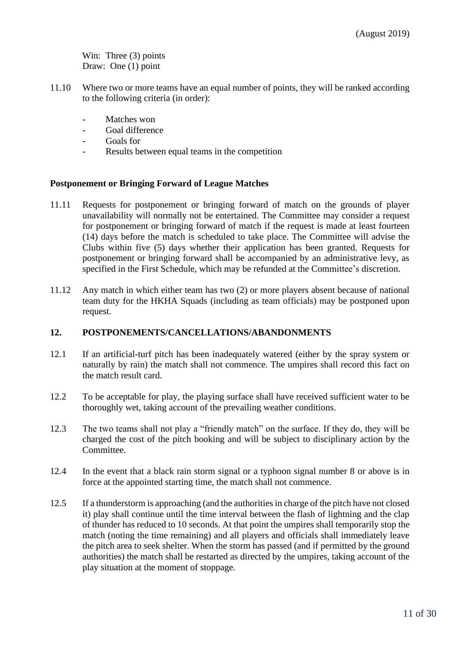Win: Three (3) points Draw: One (1) point

- 11.10 Where two or more teams have an equal number of points, they will be ranked according to the following criteria (in order):
	- Matches won
	- Goal difference
	- Goals for
	- Results between equal teams in the competition

### **Postponement or Bringing Forward of League Matches**

- 11.11 Requests for postponement or bringing forward of match on the grounds of player unavailability will normally not be entertained. The Committee may consider a request for postponement or bringing forward of match if the request is made at least fourteen (14) days before the match is scheduled to take place. The Committee will advise the Clubs within five (5) days whether their application has been granted. Requests for postponement or bringing forward shall be accompanied by an administrative levy, as specified in the [First Schedule,](http://www.hockey.org.hk/hkha/eng/mens/byelaws2.html#1sch#1sch) which may be refunded at the Committee's discretion.
- 11.12 Any match in which either team has two (2) or more players absent because of national team duty for the HKHA Squads (including as team officials) may be postponed upon request.

### **12. POSTPONEMENTS/CANCELLATIONS/ABANDONMENTS**

- 12.1 If an artificial-turf pitch has been inadequately watered (either by the spray system or naturally by rain) the match shall not commence. The umpires shall record this fact on the match result card.
- 12.2 To be acceptable for play, the playing surface shall have received sufficient water to be thoroughly wet, taking account of the prevailing weather conditions.
- 12.3 The two teams shall not play a "friendly match" on the surface. If they do, they will be charged the cost of the pitch booking and will be subject to disciplinary action by the Committee.
- 12.4 In the event that a black rain storm signal or a typhoon signal number 8 or above is in force at the appointed starting time, the match shall not commence.
- 12.5 If a thunderstorm is approaching (and the authorities in charge of the pitch have not closed it) play shall continue until the time interval between the flash of lightning and the clap of thunder has reduced to 10 seconds. At that point the umpires shall temporarily stop the match (noting the time remaining) and all players and officials shall immediately leave the pitch area to seek shelter. When the storm has passed (and if permitted by the ground authorities) the match shall be restarted as directed by the umpires, taking account of the play situation at the moment of stoppage.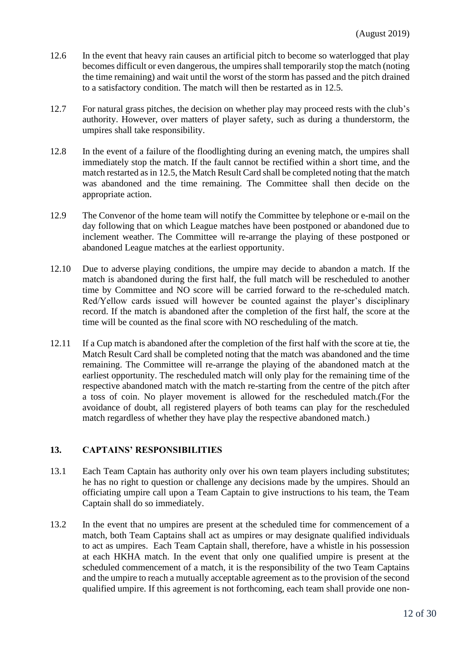- 12.6 In the event that heavy rain causes an artificial pitch to become so waterlogged that play becomes difficult or even dangerous, the umpires shall temporarily stop the match (noting the time remaining) and wait until the worst of the storm has passed and the pitch drained to a satisfactory condition. The match will then be restarted as in 12.5.
- 12.7 For natural grass pitches, the decision on whether play may proceed rests with the club's authority. However, over matters of player safety, such as during a thunderstorm, the umpires shall take responsibility.
- 12.8 In the event of a failure of the floodlighting during an evening match, the umpires shall immediately stop the match. If the fault cannot be rectified within a short time, and the match restarted as in 12.5, the Match Result Card shall be completed noting that the match was abandoned and the time remaining. The Committee shall then decide on the appropriate action.
- 12.9 The Convenor of the home team will notify the Committee by telephone or e-mail on the day following that on which League matches have been postponed or abandoned due to inclement weather. The Committee will re-arrange the playing of these postponed or abandoned League matches at the earliest opportunity.
- 12.10 Due to adverse playing conditions, the umpire may decide to abandon a match. If the match is abandoned during the first half, the full match will be rescheduled to another time by Committee and NO score will be carried forward to the re-scheduled match. Red/Yellow cards issued will however be counted against the player's disciplinary record. If the match is abandoned after the completion of the first half, the score at the time will be counted as the final score with NO rescheduling of the match.
- 12.11 If a Cup match is abandoned after the completion of the first half with the score at tie, the Match Result Card shall be completed noting that the match was abandoned and the time remaining. The Committee will re-arrange the playing of the abandoned match at the earliest opportunity. The rescheduled match will only play for the remaining time of the respective abandoned match with the match re-starting from the centre of the pitch after a toss of coin. No player movement is allowed for the rescheduled match.(For the avoidance of doubt, all registered players of both teams can play for the rescheduled match regardless of whether they have play the respective abandoned match.)

### **13. CAPTAINS' RESPONSIBILITIES**

- 13.1 Each Team Captain has authority only over his own team players including substitutes; he has no right to question or challenge any decisions made by the umpires. Should an officiating umpire call upon a Team Captain to give instructions to his team, the Team Captain shall do so immediately.
- 13.2 In the event that no umpires are present at the scheduled time for commencement of a match, both Team Captains shall act as umpires or may designate qualified individuals to act as umpires. Each Team Captain shall, therefore, have a whistle in his possession at each HKHA match. In the event that only one qualified umpire is present at the scheduled commencement of a match, it is the responsibility of the two Team Captains and the umpire to reach a mutually acceptable agreement as to the provision of the second qualified umpire. If this agreement is not forthcoming, each team shall provide one non-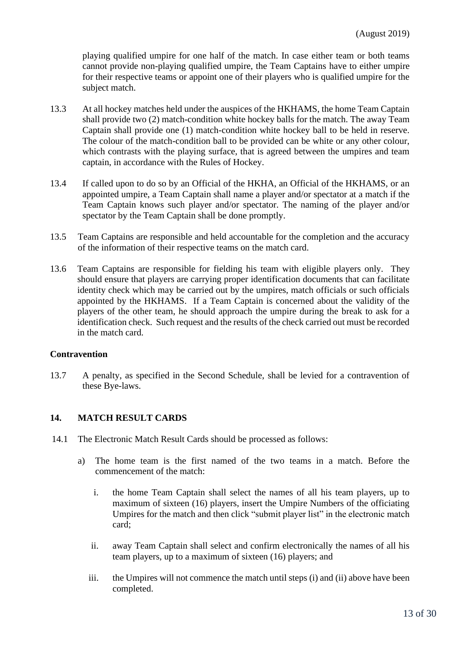playing qualified umpire for one half of the match. In case either team or both teams cannot provide non-playing qualified umpire, the Team Captains have to either umpire for their respective teams or appoint one of their players who is qualified umpire for the subject match.

- 13.3 At all hockey matches held under the auspices of the HKHAMS, the home Team Captain shall provide two (2) match-condition white hockey balls for the match. The away Team Captain shall provide one (1) match-condition white hockey ball to be held in reserve. The colour of the match-condition ball to be provided can be white or any other colour, which contrasts with the playing surface, that is agreed between the umpires and team captain, in accordance with the Rules of Hockey.
- 13.4 If called upon to do so by an Official of the HKHA, an Official of the HKHAMS, or an appointed umpire, a Team Captain shall name a player and/or spectator at a match if the Team Captain knows such player and/or spectator. The naming of the player and/or spectator by the Team Captain shall be done promptly.
- 13.5 Team Captains are responsible and held accountable for the completion and the accuracy of the information of their respective teams on the match card.
- 13.6 Team Captains are responsible for fielding his team with eligible players only. They should ensure that players are carrying proper identification documents that can facilitate identity check which may be carried out by the umpires, match officials or such officials appointed by the HKHAMS. If a Team Captain is concerned about the validity of the players of the other team, he should approach the umpire during the break to ask for a identification check. Such request and the results of the check carried out must be recorded in the match card.

#### **Contravention**

13.7 A penalty, as specified in the Second Schedule, shall be levied for a contravention of these Bye-laws.

#### **14. MATCH RESULT CARDS**

- 14.1 The Electronic Match Result Cards should be processed as follows:
	- a) The home team is the first named of the two teams in a match. Before the commencement of the match:
		- i. the home Team Captain shall select the names of all his team players, up to maximum of sixteen (16) players, insert the Umpire Numbers of the officiating Umpires for the match and then click "submit player list" in the electronic match card;
		- ii. away Team Captain shall select and confirm electronically the names of all his team players, up to a maximum of sixteen (16) players; and
		- iii. the Umpires will not commence the match until steps (i) and (ii) above have been completed.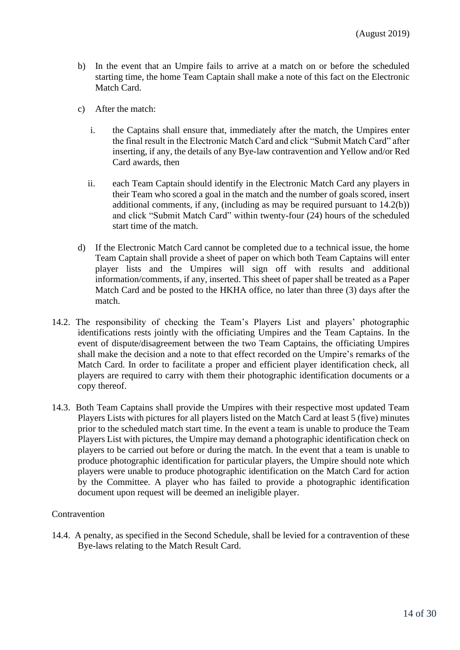- b) In the event that an Umpire fails to arrive at a match on or before the scheduled starting time, the home Team Captain shall make a note of this fact on the Electronic Match Card.
- c) After the match:
	- i. the Captains shall ensure that, immediately after the match, the Umpires enter the final result in the Electronic Match Card and click "Submit Match Card" after inserting, if any, the details of any Bye-law contravention and Yellow and/or Red Card awards, then
	- ii. each Team Captain should identify in the Electronic Match Card any players in their Team who scored a goal in the match and the number of goals scored, insert additional comments, if any, (including as may be required pursuant to 14.2(b)) and click "Submit Match Card" within twenty-four (24) hours of the scheduled start time of the match.
- d) If the Electronic Match Card cannot be completed due to a technical issue, the home Team Captain shall provide a sheet of paper on which both Team Captains will enter player lists and the Umpires will sign off with results and additional information/comments, if any, inserted. This sheet of paper shall be treated as a Paper Match Card and be posted to the HKHA office, no later than three (3) days after the match.
- 14.2. The responsibility of checking the Team's Players List and players' photographic identifications rests jointly with the officiating Umpires and the Team Captains. In the event of dispute/disagreement between the two Team Captains, the officiating Umpires shall make the decision and a note to that effect recorded on the Umpire's remarks of the Match Card. In order to facilitate a proper and efficient player identification check, all players are required to carry with them their photographic identification documents or a copy thereof.
- 14.3. Both Team Captains shall provide the Umpires with their respective most updated Team Players Lists with pictures for all players listed on the Match Card at least 5 (five) minutes prior to the scheduled match start time. In the event a team is unable to produce the Team Players List with pictures, the Umpire may demand a photographic identification check on players to be carried out before or during the match. In the event that a team is unable to produce photographic identification for particular players, the Umpire should note which players were unable to produce photographic identification on the Match Card for action by the Committee. A player who has failed to provide a photographic identification document upon request will be deemed an ineligible player.

#### **Contravention**

14.4. A penalty, as specified in the Second Schedule, shall be levied for a contravention of these Bye-laws relating to the Match Result Card.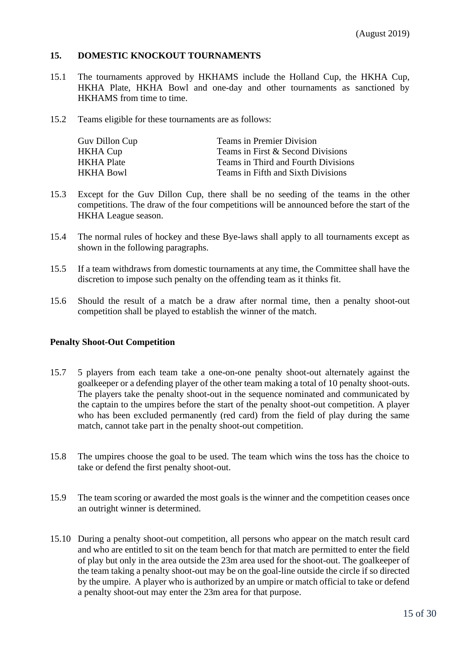### **15. DOMESTIC KNOCKOUT TOURNAMENTS**

- 15.1 The tournaments approved by HKHAMS include the Holland Cup, the HKHA Cup, HKHA Plate, HKHA Bowl and one-day and other tournaments as sanctioned by HKHAMS from time to time.
- 15.2 Teams eligible for these tournaments are as follows:

| Guv Dillon Cup | <b>Teams in Premier Division</b>    |
|----------------|-------------------------------------|
| HKHA Cup       | Teams in First & Second Divisions   |
| HKHA Plate     | Teams in Third and Fourth Divisions |
| HKHA Bowl      | Teams in Fifth and Sixth Divisions  |

- 15.3 Except for the Guv Dillon Cup, there shall be no seeding of the teams in the other competitions. The draw of the four competitions will be announced before the start of the HKHA League season.
- 15.4 The normal rules of hockey and these Bye-laws shall apply to all tournaments except as shown in the following paragraphs.
- 15.5 If a team withdraws from domestic tournaments at any time, the Committee shall have the discretion to impose such penalty on the offending team as it thinks fit.
- 15.6 Should the result of a match be a draw after normal time, then a penalty shoot-out competition shall be played to establish the winner of the match.

#### **Penalty Shoot-Out Competition**

- 15.7 5 players from each team take a one-on-one penalty shoot-out alternately against the goalkeeper or a defending player of the other team making a total of 10 penalty shoot-outs. The players take the penalty shoot-out in the sequence nominated and communicated by the captain to the umpires before the start of the penalty shoot-out competition. A player who has been excluded permanently (red card) from the field of play during the same match, cannot take part in the penalty shoot-out competition.
- 15.8 The umpires choose the goal to be used. The team which wins the toss has the choice to take or defend the first penalty shoot-out.
- 15.9 The team scoring or awarded the most goals is the winner and the competition ceases once an outright winner is determined.
- 15.10 During a penalty shoot-out competition, all persons who appear on the match result card and who are entitled to sit on the team bench for that match are permitted to enter the field of play but only in the area outside the 23m area used for the shoot-out. The goalkeeper of the team taking a penalty shoot-out may be on the goal-line outside the circle if so directed by the umpire. A player who is authorized by an umpire or match official to take or defend a penalty shoot-out may enter the 23m area for that purpose.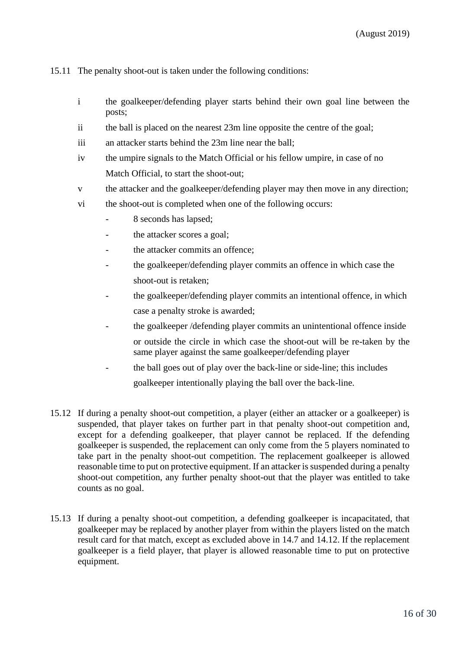15.11 The penalty shoot-out is taken under the following conditions:

- i the goalkeeper/defending player starts behind their own goal line between the posts;
- ii the ball is placed on the nearest 23m line opposite the centre of the goal;
- iii an attacker starts behind the 23m line near the ball;
- iv the umpire signals to the Match Official or his fellow umpire, in case of no Match Official, to start the shoot-out;
- v the attacker and the goalkeeper/defending player may then move in any direction;
- vi the shoot-out is completed when one of the following occurs:
	- 8 seconds has lapsed;
	- the attacker scores a goal;
	- the attacker commits an offence:
	- the goalkeeper/defending player commits an offence in which case the shoot-out is retaken;
	- the goalkeeper/defending player commits an intentional offence, in which case a penalty stroke is awarded;
	- the goalkeeper /defending player commits an unintentional offence inside or outside the circle in which case the shoot-out will be re-taken by the same player against the same goalkeeper/defending player
	- the ball goes out of play over the back-line or side-line; this includes goalkeeper intentionally playing the ball over the back-line.
- 15.12 If during a penalty shoot-out competition, a player (either an attacker or a goalkeeper) is suspended, that player takes on further part in that penalty shoot-out competition and, except for a defending goalkeeper, that player cannot be replaced. If the defending goalkeeper is suspended, the replacement can only come from the 5 players nominated to take part in the penalty shoot-out competition. The replacement goalkeeper is allowed reasonable time to put on protective equipment. If an attacker is suspended during a penalty shoot-out competition, any further penalty shoot-out that the player was entitled to take counts as no goal.
- 15.13 If during a penalty shoot-out competition, a defending goalkeeper is incapacitated, that goalkeeper may be replaced by another player from within the players listed on the match result card for that match, except as excluded above in 14.7 and 14.12. If the replacement goalkeeper is a field player, that player is allowed reasonable time to put on protective equipment.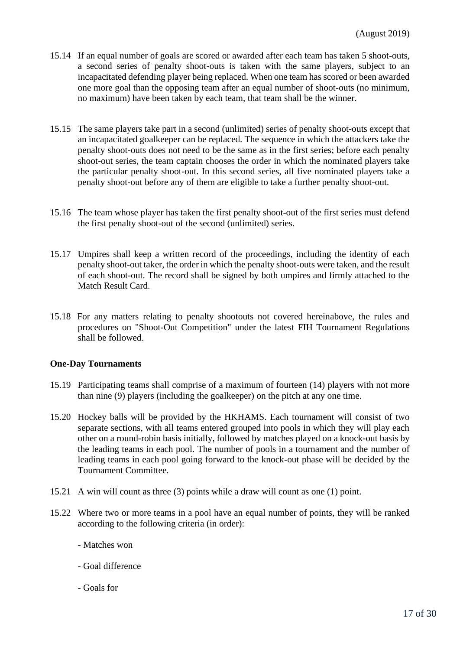- 15.14 If an equal number of goals are scored or awarded after each team has taken 5 shoot-outs, a second series of penalty shoot-outs is taken with the same players, subject to an incapacitated defending player being replaced. When one team has scored or been awarded one more goal than the opposing team after an equal number of shoot-outs (no minimum, no maximum) have been taken by each team, that team shall be the winner.
- 15.15 The same players take part in a second (unlimited) series of penalty shoot-outs except that an incapacitated goalkeeper can be replaced. The sequence in which the attackers take the penalty shoot-outs does not need to be the same as in the first series; before each penalty shoot-out series, the team captain chooses the order in which the nominated players take the particular penalty shoot-out. In this second series, all five nominated players take a penalty shoot-out before any of them are eligible to take a further penalty shoot-out.
- 15.16 The team whose player has taken the first penalty shoot-out of the first series must defend the first penalty shoot-out of the second (unlimited) series.
- 15.17 Umpires shall keep a written record of the proceedings, including the identity of each penalty shoot-out taker, the order in which the penalty shoot-outs were taken, and the result of each shoot-out. The record shall be signed by both umpires and firmly attached to the Match Result Card.
- 15.18 For any matters relating to penalty shootouts not covered hereinabove, the rules and procedures on "Shoot-Out Competition" under the latest FIH Tournament Regulations shall be followed.

### **One-Day Tournaments**

- 15.19 Participating teams shall comprise of a maximum of fourteen (14) players with not more than nine (9) players (including the goalkeeper) on the pitch at any one time.
- 15.20 Hockey balls will be provided by the HKHAMS. Each tournament will consist of two separate sections, with all teams entered grouped into pools in which they will play each other on a round-robin basis initially, followed by matches played on a knock-out basis by the leading teams in each pool. The number of pools in a tournament and the number of leading teams in each pool going forward to the knock-out phase will be decided by the Tournament Committee.
- 15.21 A win will count as three (3) points while a draw will count as one (1) point.
- 15.22 Where two or more teams in a pool have an equal number of points, they will be ranked according to the following criteria (in order):
	- Matches won
	- Goal difference
	- Goals for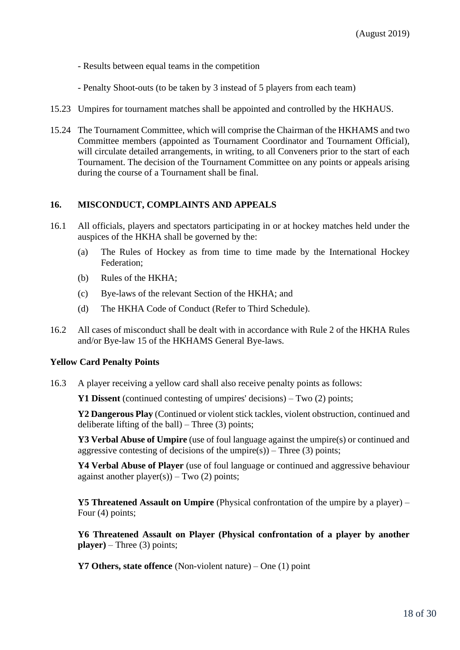- Results between equal teams in the competition
- Penalty Shoot-outs (to be taken by 3 instead of 5 players from each team)
- 15.23 Umpires for tournament matches shall be appointed and controlled by the HKHAUS.
- 15.24 The Tournament Committee, which will comprise the Chairman of the HKHAMS and two Committee members (appointed as Tournament Coordinator and Tournament Official), will circulate detailed arrangements, in writing, to all Conveners prior to the start of each Tournament. The decision of the Tournament Committee on any points or appeals arising during the course of a Tournament shall be final.

### **16. MISCONDUCT, COMPLAINTS AND APPEALS**

- 16.1 All officials, players and spectators participating in or at hockey matches held under the auspices of the HKHA shall be governed by the:
	- (a) The Rules of Hockey as from time to time made by the International Hockey Federation;
	- (b) Rules of the HKHA;
	- (c) Bye-laws of the relevant Section of the HKHA; and
	- (d) The HKHA Code of Conduct (Refer to Third Schedule).
- 16.2 All cases of misconduct shall be dealt with in accordance with Rule 2 of the HKHA Rules and/or Bye-law 15 of the HKHAMS General Bye-laws.

### **Yellow Card Penalty Points**

16.3 A player receiving a yellow card shall also receive penalty points as follows:

**Y1 Dissent** (continued contesting of umpires' decisions) – Two (2) points;

**Y2 Dangerous Play** (Continued or violent stick tackles, violent obstruction, continued and deliberate lifting of the ball) – Three  $(3)$  points;

**Y3 Verbal Abuse of Umpire** (use of foul language against the umpire(s) or continued and aggressive contesting of decisions of the umpire(s)) – Three (3) points;

**Y4 Verbal Abuse of Player** (use of foul language or continued and aggressive behaviour against another  $player(s)) - Two(2) points;$ 

**Y5 Threatened Assault on Umpire** (Physical confrontation of the umpire by a player) – Four (4) points;

**Y6 Threatened Assault on Player (Physical confrontation of a player by another player)** – Three (3) points;

**Y7 Others, state offence** (Non-violent nature) – One (1) point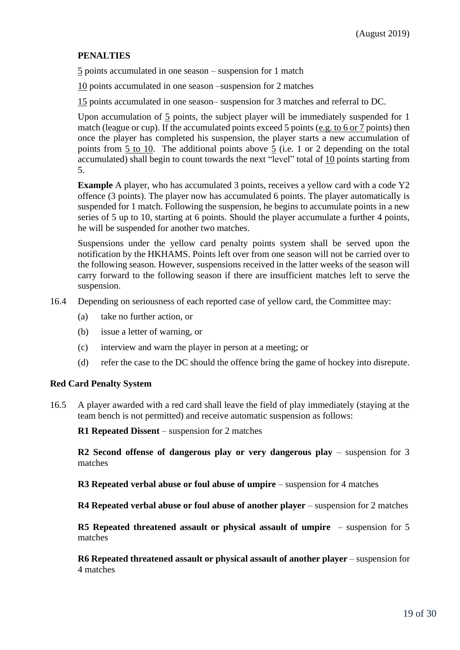# **PENALTIES**

5 points accumulated in one season – suspension for 1 match

10 points accumulated in one season –suspension for 2 matches

15 points accumulated in one season– suspension for 3 matches and referral to DC.

Upon accumulation of 5 points, the subject player will be immediately suspended for 1 match (league or cup). If the accumulated points exceed 5 points (e.g. to 6 or 7 points) then once the player has completed his suspension, the player starts a new accumulation of points from 5 to 10. The additional points above 5 (i.e. 1 or 2 depending on the total accumulated) shall begin to count towards the next "level" total of 10 points starting from 5.

**Example** A player, who has accumulated 3 points, receives a yellow card with a code Y2 offence (3 points). The player now has accumulated 6 points. The player automatically is suspended for 1 match. Following the suspension, he begins to accumulate points in a new series of 5 up to 10, starting at 6 points. Should the player accumulate a further 4 points, he will be suspended for another two matches.

Suspensions under the yellow card penalty points system shall be served upon the notification by the HKHAMS. Points left over from one season will not be carried over to the following season. However, suspensions received in the latter weeks of the season will carry forward to the following season if there are insufficient matches left to serve the suspension.

16.4 Depending on seriousness of each reported case of yellow card, the Committee may:

- (a) take no further action, or
- (b) issue a letter of warning, or
- (c) interview and warn the player in person at a meeting; or
- (d) refer the case to the DC should the offence bring the game of hockey into disrepute.

#### **Red Card Penalty System**

16.5 A player awarded with a red card shall leave the field of play immediately (staying at the team bench is not permitted) and receive automatic suspension as follows:

**R1 Repeated Dissent** – suspension for 2 matches

**R2 Second offense of dangerous play or very dangerous play** – suspension for 3 matches

**R3 Repeated verbal abuse or foul abuse of umpire** – suspension for 4 matches

**R4 Repeated verbal abuse or foul abuse of another player** – suspension for 2 matches

**R5 Repeated threatened assault or physical assault of umpire** – suspension for 5 matches

**R6 Repeated threatened assault or physical assault of another player** – suspension for 4 matches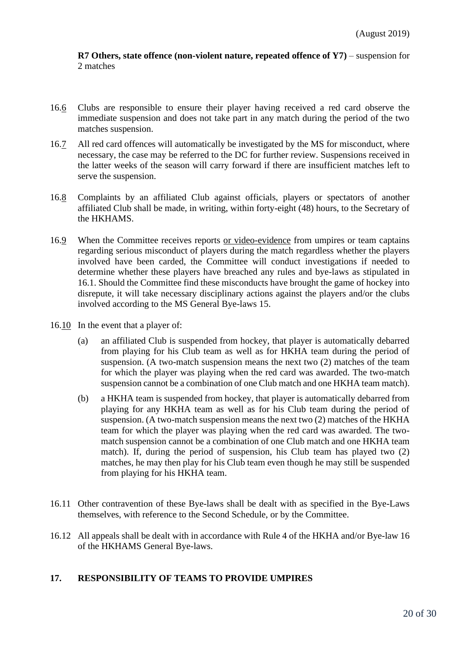**R7 Others, state offence (non-violent nature, repeated offence of Y7)** – suspension for 2 matches

- 16.6 Clubs are responsible to ensure their player having received a red card observe the immediate suspension and does not take part in any match during the period of the two matches suspension.
- 16.7 All red card offences will automatically be investigated by the MS for misconduct, where necessary, the case may be referred to the DC for further review. Suspensions received in the latter weeks of the season will carry forward if there are insufficient matches left to serve the suspension.
- 16.8 Complaints by an affiliated Club against officials, players or spectators of another affiliated Club shall be made, in writing, within forty-eight (48) hours, to the Secretary of the HKHAMS.
- 16.9 When the Committee receives reports or video-evidence from umpires or team captains regarding serious misconduct of players during the match regardless whether the players involved have been carded, the Committee will conduct investigations if needed to determine whether these players have breached any rules and bye-laws as stipulated in 16.1. Should the Committee find these misconducts have brought the game of hockey into disrepute, it will take necessary disciplinary actions against the players and/or the clubs involved according to the MS General Bye-laws 15.
- 16.10 In the event that a player of:
	- (a) an affiliated Club is suspended from hockey, that player is automatically debarred from playing for his Club team as well as for HKHA team during the period of suspension. (A two-match suspension means the next two (2) matches of the team for which the player was playing when the red card was awarded. The two-match suspension cannot be a combination of one Club match and one HKHA team match).
	- (b) a HKHA team is suspended from hockey, that player is automatically debarred from playing for any HKHA team as well as for his Club team during the period of suspension. (A two-match suspension means the next two (2) matches of the HKHA team for which the player was playing when the red card was awarded. The twomatch suspension cannot be a combination of one Club match and one HKHA team match). If, during the period of suspension, his Club team has played two (2) matches, he may then play for his Club team even though he may still be suspended from playing for his HKHA team.
- 16.11 Other contravention of these Bye-laws shall be dealt with as specified in the Bye-Laws themselves, with reference to the Second Schedule, or by the Committee.
- 16.12 All appeals shall be dealt with in accordance with Rule 4 of the HKHA and/or Bye-law 16 of the HKHAMS General Bye-laws.

### **17. RESPONSIBILITY OF TEAMS TO PROVIDE UMPIRES**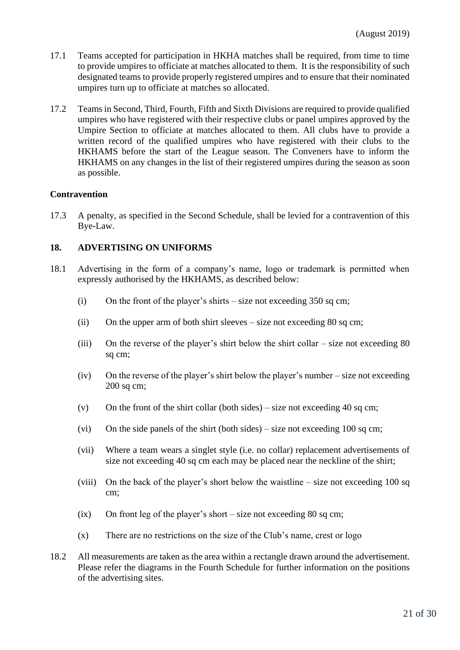- 17.1 Teams accepted for participation in HKHA matches shall be required, from time to time to provide umpires to officiate at matches allocated to them. It is the responsibility of such designated teams to provide properly registered umpires and to ensure that their nominated umpires turn up to officiate at matches so allocated.
- 17.2 Teams in Second, Third, Fourth, Fifth and Sixth Divisions are required to provide qualified umpires who have registered with their respective clubs or panel umpires approved by the Umpire Section to officiate at matches allocated to them. All clubs have to provide a written record of the qualified umpires who have registered with their clubs to the HKHAMS before the start of the League season. The Conveners have to inform the HKHAMS on any changes in the list of their registered umpires during the season as soon as possible.

#### **Contravention**

17.3 A penalty, as specified in the [Second Schedule,](http://www.hockey.org.hk/hkha/eng/mens/byelaws2.html#2sch#2sch) shall be levied for a contravention of this Bye-Law.

### **18. ADVERTISING ON UNIFORMS**

- 18.1 Advertising in the form of a company's name, logo or trademark is permitted when expressly authorised by the HKHAMS, as described below:
	- (i) On the front of the player's shirts size not exceeding  $350$  sq cm;
	- (ii) On the upper arm of both shirt sleeves size not exceeding 80 sq cm;
	- (iii) On the reverse of the player's shirt below the shirt collar size not exceeding 80 sq cm;
	- (iv) On the reverse of the player's shirt below the player's number size not exceeding 200 sq cm;
	- (v) On the front of the shirt collar (both sides) size not exceeding 40 sq cm;
	- (vi) On the side panels of the shirt (both sides) size not exceeding 100 sq cm;
	- (vii) Where a team wears a singlet style (i.e. no collar) replacement advertisements of size not exceeding 40 sq cm each may be placed near the neckline of the shirt;
	- (viii) On the back of the player's short below the waistline size not exceeding 100 sq cm;
	- $(ix)$  On front leg of the player's short size not exceeding 80 sq cm;
	- (x) There are no restrictions on the size of the Club's name, crest or logo
- 18.2 All measurements are taken as the area within a rectangle drawn around the advertisement. Please refer the diagrams in the Fourth Schedule for further information on the positions of the advertising sites.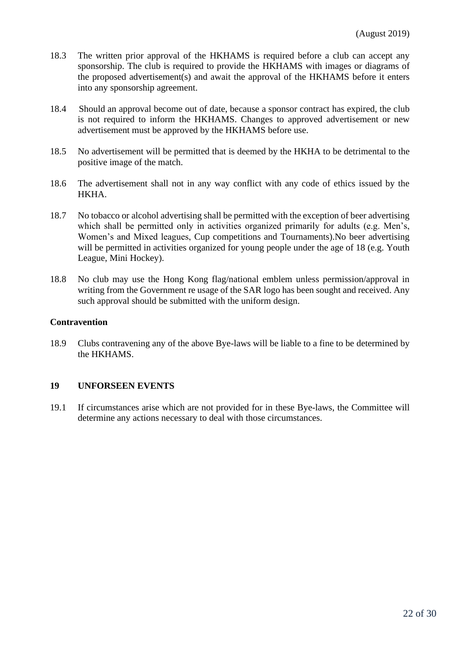- 18.3 The written prior approval of the HKHAMS is required before a club can accept any sponsorship. The club is required to provide the HKHAMS with images or diagrams of the proposed advertisement(s) and await the approval of the HKHAMS before it enters into any sponsorship agreement.
- 18.4 Should an approval become out of date, because a sponsor contract has expired, the club is not required to inform the HKHAMS. Changes to approved advertisement or new advertisement must be approved by the HKHAMS before use.
- 18.5 No advertisement will be permitted that is deemed by the HKHA to be detrimental to the positive image of the match.
- 18.6 The advertisement shall not in any way conflict with any code of ethics issued by the HKHA.
- 18.7 No tobacco or alcohol advertising shall be permitted with the exception of beer advertising which shall be permitted only in activities organized primarily for adults (e.g. Men's, Women's and Mixed leagues, Cup competitions and Tournaments).No beer advertising will be permitted in activities organized for young people under the age of 18 (e.g. Youth League, Mini Hockey).
- 18.8 No club may use the Hong Kong flag/national emblem unless permission/approval in writing from the Government re usage of the SAR logo has been sought and received. Any such approval should be submitted with the uniform design.

#### **Contravention**

18.9 Clubs contravening any of the above Bye-laws will be liable to a fine to be determined by the HKHAMS.

#### **19 UNFORSEEN EVENTS**

19.1 If circumstances arise which are not provided for in these Bye-laws, the Committee will determine any actions necessary to deal with those circumstances.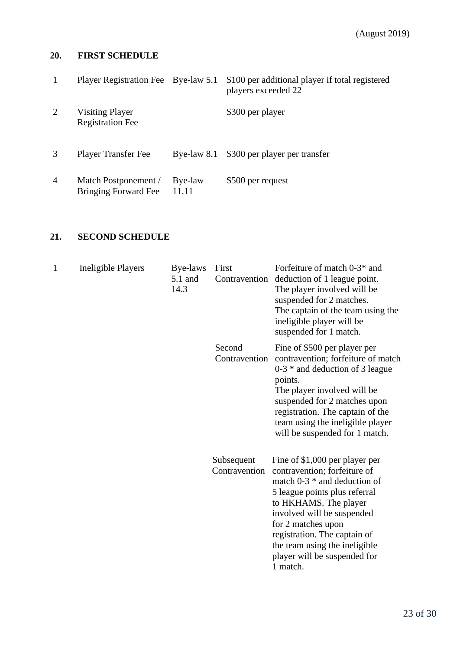# **20. FIRST SCHEDULE**

|                | Player Registration Fee Bye-law 5.1                 |                  | \$100 per additional player if total registered<br>players exceeded 22 |
|----------------|-----------------------------------------------------|------------------|------------------------------------------------------------------------|
| 2              | <b>Visiting Player</b><br><b>Registration Fee</b>   |                  | \$300 per player                                                       |
|                | <b>Player Transfer Fee</b>                          | Bye-law $8.1$    | \$300 per player per transfer                                          |
| $\overline{4}$ | Match Postponement /<br><b>Bringing Forward Fee</b> | Bye-law<br>11.11 | \$500 per request                                                      |

# **21. SECOND SCHEDULE**

| 1 | <b>Ineligible Players</b> | Bye-laws<br>5.1 and<br>14.3 | First<br>Contravention      | Forfeiture of match 0-3 <sup>*</sup> and<br>deduction of 1 league point.<br>The player involved will be<br>suspended for 2 matches.<br>The captain of the team using the<br>ineligible player will be<br>suspended for 1 match.                                                                                             |
|---|---------------------------|-----------------------------|-----------------------------|-----------------------------------------------------------------------------------------------------------------------------------------------------------------------------------------------------------------------------------------------------------------------------------------------------------------------------|
|   |                           |                             | Second<br>Contravention     | Fine of \$500 per player per<br>contravention; forfeiture of match<br>$0-3$ * and deduction of 3 league<br>points.<br>The player involved will be<br>suspended for 2 matches upon<br>registration. The captain of the<br>team using the ineligible player<br>will be suspended for 1 match.                                 |
|   |                           |                             | Subsequent<br>Contravention | Fine of \$1,000 per player per<br>contravention; forfeiture of<br>match $0-3$ * and deduction of<br>5 league points plus referral<br>to HKHAMS. The player<br>involved will be suspended<br>for 2 matches upon<br>registration. The captain of<br>the team using the ineligible<br>player will be suspended for<br>1 match. |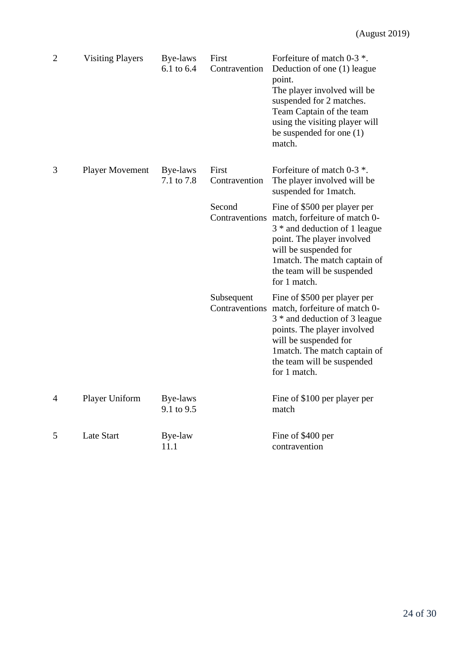| $\overline{2}$ | <b>Visiting Players</b> | Bye-laws<br>6.1 to 6.4 | First<br>Contravention | Forfeiture of match 0-3 $*$ .<br>Deduction of one (1) league<br>point.<br>The player involved will be<br>suspended for 2 matches.<br>Team Captain of the team<br>using the visiting player will<br>be suspended for one $(1)$<br>match.              |
|----------------|-------------------------|------------------------|------------------------|------------------------------------------------------------------------------------------------------------------------------------------------------------------------------------------------------------------------------------------------------|
| 3              | <b>Player Movement</b>  | Bye-laws<br>7.1 to 7.8 | First<br>Contravention | Forfeiture of match 0-3 $*$ .<br>The player involved will be<br>suspended for 1match.                                                                                                                                                                |
|                |                         |                        | Second                 | Fine of \$500 per player per<br>Contraventions match, forfeiture of match 0-<br>3 * and deduction of 1 league<br>point. The player involved<br>will be suspended for<br>1 match. The match captain of<br>the team will be suspended<br>for 1 match.  |
|                |                         |                        | Subsequent             | Fine of \$500 per player per<br>Contraventions match, forfeiture of match 0-<br>3 * and deduction of 3 league<br>points. The player involved<br>will be suspended for<br>1 match. The match captain of<br>the team will be suspended<br>for 1 match. |
| 4              | Player Uniform          | Bye-laws<br>9.1 to 9.5 |                        | Fine of \$100 per player per<br>match                                                                                                                                                                                                                |
| 5              | <b>Late Start</b>       | Bye-law<br>11.1        |                        | Fine of \$400 per<br>contravention                                                                                                                                                                                                                   |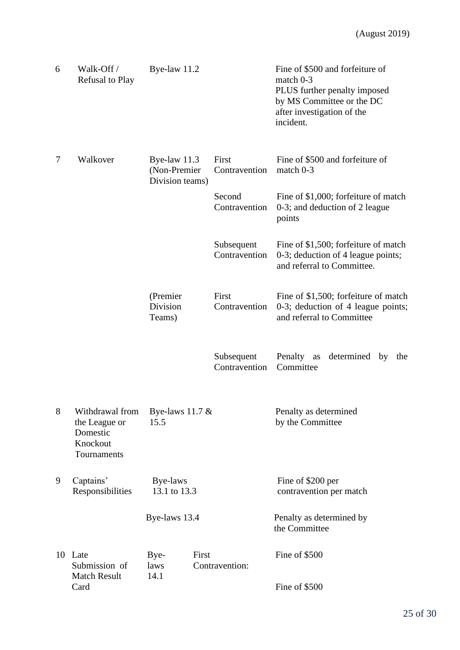| 6 | Walk-Off /<br>Refusal to Play                                           | Bye-law 11.2                                      |                             | Fine of \$500 and forfeiture of<br>match 0-3<br>PLUS further penalty imposed<br>by MS Committee or the DC<br>after investigation of the<br>incident. |
|---|-------------------------------------------------------------------------|---------------------------------------------------|-----------------------------|------------------------------------------------------------------------------------------------------------------------------------------------------|
| 7 | Walkover                                                                | Bye-law $11.3$<br>(Non-Premier<br>Division teams) | First<br>Contravention      | Fine of \$500 and forfeiture of<br>match 0-3                                                                                                         |
|   |                                                                         |                                                   | Second<br>Contravention     | Fine of \$1,000; forfeiture of match<br>0-3; and deduction of 2 league<br>points                                                                     |
|   |                                                                         |                                                   | Subsequent<br>Contravention | Fine of \$1,500; forfeiture of match<br>0-3; deduction of 4 league points;<br>and referral to Committee.                                             |
|   |                                                                         | (Premier<br>Division<br>Teams)                    | First<br>Contravention      | Fine of \$1,500; forfeiture of match<br>0-3; deduction of 4 league points;<br>and referral to Committee                                              |
|   |                                                                         |                                                   | Subsequent<br>Contravention | Penalty<br>determined by<br>as<br>the<br>Committee                                                                                                   |
| 8 | Withdrawal from<br>the League or<br>Domestic<br>Knockout<br>Tournaments | Bye-laws $11.7 \&$<br>15.5                        |                             | Penalty as determined<br>by the Committee                                                                                                            |
| 9 | Captains'<br>Responsibilities                                           | Bye-laws<br>13.1 to 13.3                          |                             | Fine of \$200 per<br>contravention per match                                                                                                         |
|   |                                                                         | Bye-laws 13.4                                     |                             | Penalty as determined by<br>the Committee                                                                                                            |
|   | 10 Late<br>Submission of<br><b>Match Result</b>                         | Bye-<br>laws<br>14.1                              | First<br>Contravention:     | Fine of \$500                                                                                                                                        |
|   | Card                                                                    |                                                   |                             | Fine of \$500                                                                                                                                        |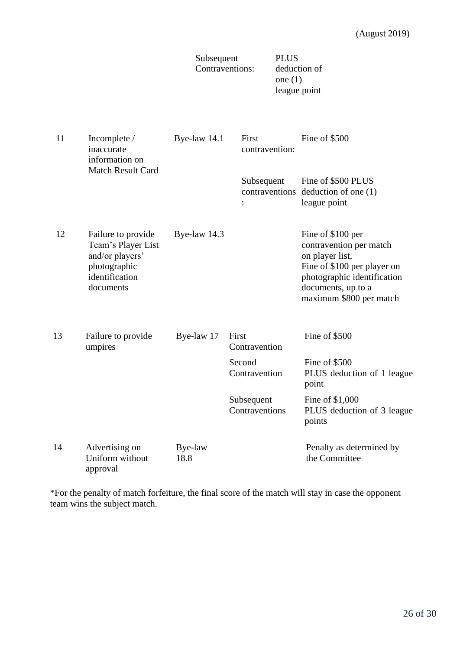|    |                                                                                                            | Subsequent<br>Contraventions: |                              | <b>PLUS</b><br>deduction of<br>one $(1)$<br>league point |                                                                                                                                                                                |
|----|------------------------------------------------------------------------------------------------------------|-------------------------------|------------------------------|----------------------------------------------------------|--------------------------------------------------------------------------------------------------------------------------------------------------------------------------------|
| 11 | Incomplete /<br>inaccurate<br>information on<br><b>Match Result Card</b>                                   | Bye-law 14.1                  | First<br>contravention:      |                                                          | Fine of \$500                                                                                                                                                                  |
|    |                                                                                                            |                               | Subsequent<br>$\ddot{\cdot}$ |                                                          | Fine of \$500 PLUS<br>contraventions deduction of one (1)<br>league point                                                                                                      |
| 12 | Failure to provide<br>Team's Player List<br>and/or players'<br>photographic<br>identification<br>documents | Bye-law 14.3                  |                              |                                                          | Fine of \$100 per<br>contravention per match<br>on player list,<br>Fine of \$100 per player on<br>photographic identification<br>documents, up to a<br>maximum \$800 per match |
| 13 | Failure to provide<br>umpires                                                                              | Bye-law 17                    | First<br>Contravention       |                                                          | Fine of \$500                                                                                                                                                                  |
|    |                                                                                                            |                               | Second<br>Contravention      |                                                          | Fine of \$500<br>PLUS deduction of 1 league<br>point                                                                                                                           |
|    |                                                                                                            |                               | Subsequent<br>Contraventions |                                                          | Fine of \$1,000<br>PLUS deduction of 3 league<br>points                                                                                                                        |
| 14 | Advertising on<br>Uniform without<br>approval                                                              | Bye-law<br>18.8               |                              |                                                          | Penalty as determined by<br>the Committee                                                                                                                                      |

\*For the penalty of match forfeiture, the final score of the match will stay in case the opponent team wins the subject match.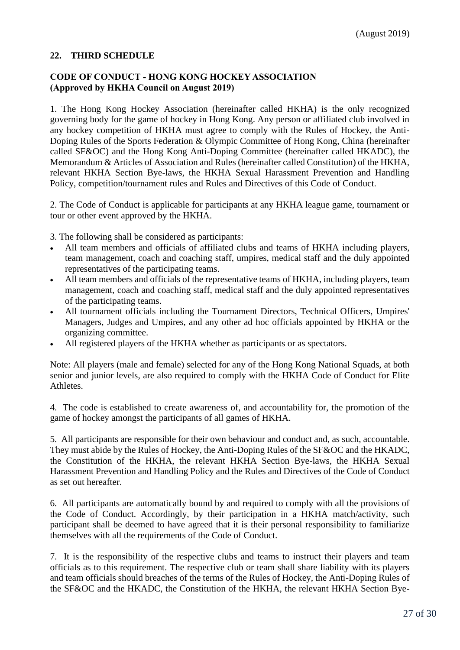# **22. THIRD SCHEDULE**

## **CODE OF CONDUCT - HONG KONG HOCKEY ASSOCIATION (Approved by HKHA Council on August 2019)**

1. The Hong Kong Hockey Association (hereinafter called HKHA) is the only recognized governing body for the game of hockey in Hong Kong. Any person or affiliated club involved in any hockey competition of HKHA must agree to comply with the Rules of Hockey, the Anti-Doping Rules of the Sports Federation & Olympic Committee of Hong Kong, China (hereinafter called SF&OC) and the Hong Kong Anti-Doping Committee (hereinafter called HKADC), the Memorandum & Articles of Association and Rules (hereinafter called Constitution) of the HKHA, relevant HKHA Section Bye-laws, the HKHA Sexual Harassment Prevention and Handling Policy, competition/tournament rules and Rules and Directives of this Code of Conduct.

2. The Code of Conduct is applicable for participants at any HKHA league game, tournament or tour or other event approved by the HKHA.

3. The following shall be considered as participants:

- All team members and officials of affiliated clubs and teams of HKHA including players, team management, coach and coaching staff, umpires, medical staff and the duly appointed representatives of the participating teams.
- All team members and officials of the representative teams of HKHA, including players, team management, coach and coaching staff, medical staff and the duly appointed representatives of the participating teams.
- All tournament officials including the Tournament Directors, Technical Officers, Umpires' Managers, Judges and Umpires, and any other ad hoc officials appointed by HKHA or the organizing committee.
- All registered players of the HKHA whether as participants or as spectators.

Note: All players (male and female) selected for any of the Hong Kong National Squads, at both senior and junior levels, are also required to comply with the HKHA Code of Conduct for Elite Athletes.

4. The code is established to create awareness of, and accountability for, the promotion of the game of hockey amongst the participants of all games of HKHA.

5. All participants are responsible for their own behaviour and conduct and, as such, accountable. They must abide by the Rules of Hockey, the Anti-Doping Rules of the SF&OC and the HKADC, the Constitution of the HKHA, the relevant HKHA Section Bye-laws, the HKHA Sexual Harassment Prevention and Handling Policy and the Rules and Directives of the Code of Conduct as set out hereafter.

6. All participants are automatically bound by and required to comply with all the provisions of the Code of Conduct. Accordingly, by their participation in a HKHA match/activity, such participant shall be deemed to have agreed that it is their personal responsibility to familiarize themselves with all the requirements of the Code of Conduct.

7. It is the responsibility of the respective clubs and teams to instruct their players and team officials as to this requirement. The respective club or team shall share liability with its players and team officials should breaches of the terms of the Rules of Hockey, the Anti-Doping Rules of the SF&OC and the HKADC, the Constitution of the HKHA, the relevant HKHA Section Bye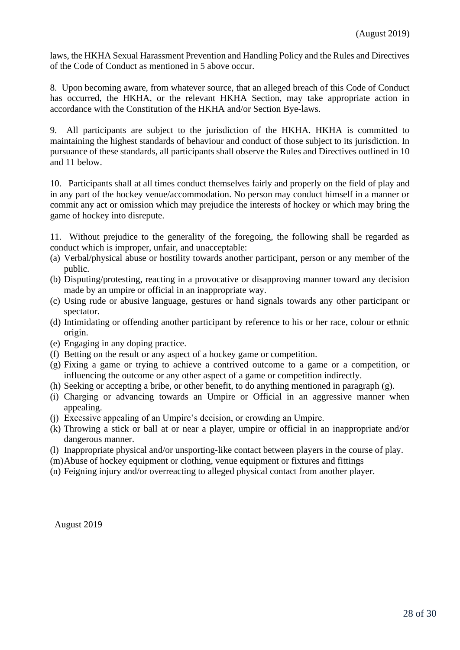laws, the HKHA Sexual Harassment Prevention and Handling Policy and the Rules and Directives of the Code of Conduct as mentioned in 5 above occur.

8. Upon becoming aware, from whatever source, that an alleged breach of this Code of Conduct has occurred, the HKHA, or the relevant HKHA Section, may take appropriate action in accordance with the Constitution of the HKHA and/or Section Bye-laws.

9. All participants are subject to the jurisdiction of the HKHA. HKHA is committed to maintaining the highest standards of behaviour and conduct of those subject to its jurisdiction. In pursuance of these standards, all participants shall observe the Rules and Directives outlined in 10 and 11 below.

10. Participants shall at all times conduct themselves fairly and properly on the field of play and in any part of the hockey venue/accommodation. No person may conduct himself in a manner or commit any act or omission which may prejudice the interests of hockey or which may bring the game of hockey into disrepute.

11. Without prejudice to the generality of the foregoing, the following shall be regarded as conduct which is improper, unfair, and unacceptable:

- (a) Verbal/physical abuse or hostility towards another participant, person or any member of the public.
- (b) Disputing/protesting, reacting in a provocative or disapproving manner toward any decision made by an umpire or official in an inappropriate way.
- (c) Using rude or abusive language, gestures or hand signals towards any other participant or spectator.
- (d) Intimidating or offending another participant by reference to his or her race, colour or ethnic origin.
- (e) Engaging in any doping practice.
- (f) Betting on the result or any aspect of a hockey game or competition.
- (g) Fixing a game or trying to achieve a contrived outcome to a game or a competition, or influencing the outcome or any other aspect of a game or competition indirectly.
- (h) Seeking or accepting a bribe, or other benefit, to do anything mentioned in paragraph (g).
- (i) Charging or advancing towards an Umpire or Official in an aggressive manner when appealing.
- (j) Excessive appealing of an Umpire's decision, or crowding an Umpire.
- (k) Throwing a stick or ball at or near a player, umpire or official in an inappropriate and/or dangerous manner.
- (l) Inappropriate physical and/or unsporting-like contact between players in the course of play.
- (m)Abuse of hockey equipment or clothing, venue equipment or fixtures and fittings
- (n) Feigning injury and/or overreacting to alleged physical contact from another player.

August 2019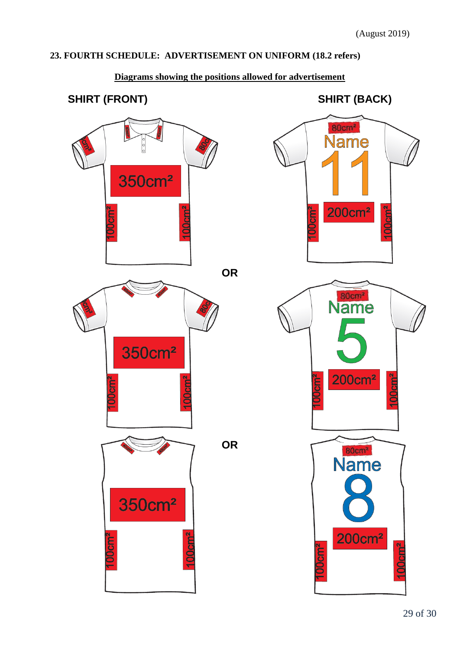# **23. FOURTH SCHEDULE: ADVERTISEMENT ON UNIFORM (18.2 refers)**



# **Diagrams showing the positions allowed for advertisement**